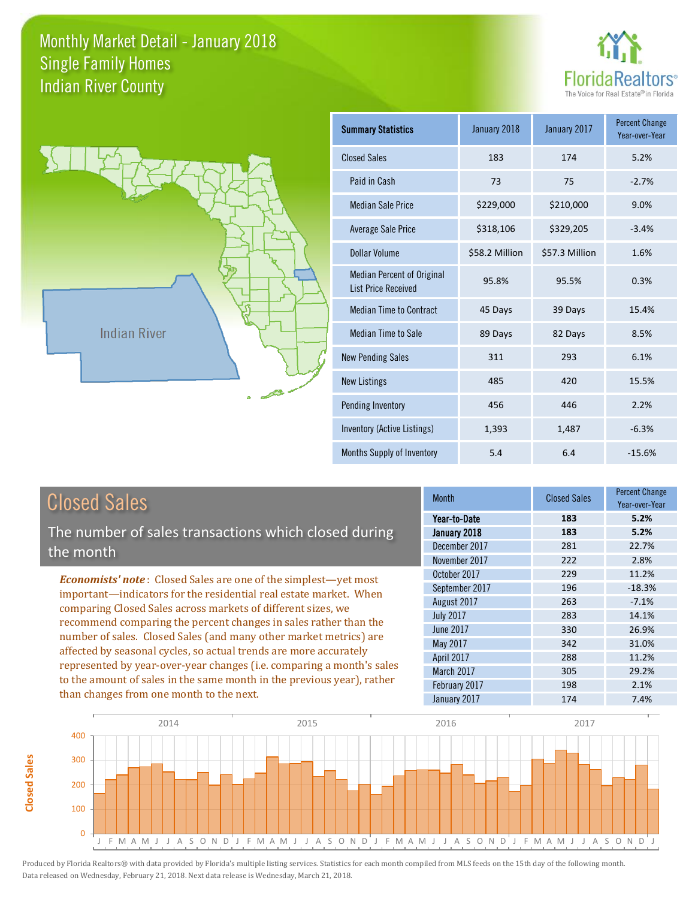



**Closed Sales**

**Closed Sales** 

| <b>Summary Statistics</b>                                       | January 2018   | January 2017   | <b>Percent Change</b><br>Year-over-Year |
|-----------------------------------------------------------------|----------------|----------------|-----------------------------------------|
| <b>Closed Sales</b>                                             | 183            | 174            | 5.2%                                    |
| Paid in Cash                                                    | 73             | 75             | $-2.7%$                                 |
| <b>Median Sale Price</b>                                        | \$229,000      | \$210,000      | 9.0%                                    |
| <b>Average Sale Price</b>                                       | \$318,106      | \$329,205      | $-3.4%$                                 |
| Dollar Volume                                                   | \$58.2 Million | \$57.3 Million | 1.6%                                    |
| <b>Median Percent of Original</b><br><b>List Price Received</b> | 95.8%          | 95.5%          | 0.3%                                    |
| <b>Median Time to Contract</b>                                  | 45 Days        | 39 Days        | 15.4%                                   |
| <b>Median Time to Sale</b>                                      | 89 Days        | 82 Days        | 8.5%                                    |
| <b>New Pending Sales</b>                                        | 311            | 293            | 6.1%                                    |
| <b>New Listings</b>                                             | 485            | 420            | 15.5%                                   |
| Pending Inventory                                               | 456            | 446            | 2.2%                                    |
| Inventory (Active Listings)                                     | 1,393          | 1,487          | $-6.3%$                                 |
| Months Supply of Inventory                                      | 5.4            | 6.4            | $-15.6%$                                |

| <b>Closed Sales</b>                                                    | <b>Month</b>     | <b>Closed Sales</b> | <b>Percent Change</b><br>Year-over-Year |
|------------------------------------------------------------------------|------------------|---------------------|-----------------------------------------|
|                                                                        | Year-to-Date     | 183                 | 5.2%                                    |
| The number of sales transactions which closed during                   | January 2018     | 183                 | 5.2%                                    |
| the month                                                              | December 2017    | 281                 | 22.7%                                   |
|                                                                        | November 2017    | 222                 | 2.8%                                    |
| <b>Economists' note:</b> Closed Sales are one of the simplest—yet most | October 2017     | 229                 | 11.2%                                   |
| important—indicators for the residential real estate market. When      | September 2017   | 196                 | $-18.3%$                                |
| comparing Closed Sales across markets of different sizes, we           | August 2017      | 263                 | $-7.1%$                                 |
| recommend comparing the percent changes in sales rather than the       | <b>July 2017</b> | 283                 | 14.1%                                   |
| number of sales. Closed Sales (and many other market metrics) are      | June 2017        | 330                 | 26.9%                                   |
|                                                                        | May 2017         | 342                 | 31.0%                                   |
| affected by seasonal cycles, so actual trends are more accurately      | April 2017       | 288                 | 11.2%                                   |
| represented by year-over-year changes (i.e. comparing a month's sales  | March 2017       | 305                 | 29.2%                                   |
| to the amount of sales in the same month in the previous year), rather | February 2017    | 198                 | 2.1%                                    |
| than changes from one month to the next.                               | January 2017     | 174                 | 7.4%                                    |

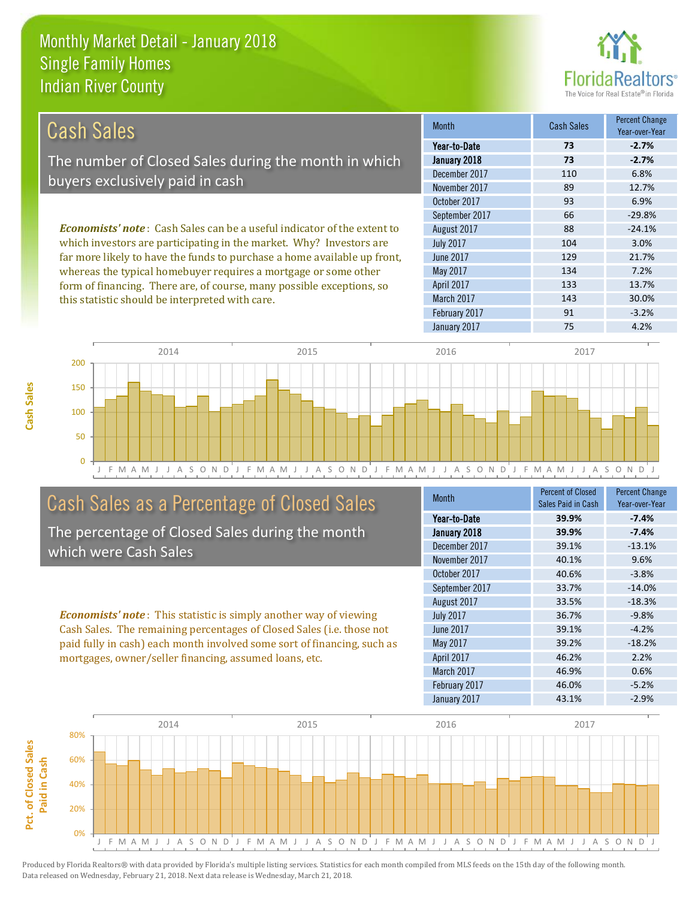this statistic should be interpreted with care.



143 30.0%

| Cash Sales                                                                     | <b>Month</b>      | <b>Cash Sales</b> | <b>Percent Change</b><br>Year-over-Year |
|--------------------------------------------------------------------------------|-------------------|-------------------|-----------------------------------------|
|                                                                                | Year-to-Date      | 73                | $-2.7%$                                 |
| The number of Closed Sales during the month in which                           | January 2018      | 73                | $-2.7%$                                 |
|                                                                                | December 2017     | 110               | 6.8%                                    |
| buyers exclusively paid in cash                                                | November 2017     | 89                | 12.7%                                   |
|                                                                                | October 2017      | 93                | 6.9%                                    |
|                                                                                | September 2017    | 66                | $-29.8%$                                |
| <b>Economists' note:</b> Cash Sales can be a useful indicator of the extent to | August 2017       | 88                | $-24.1%$                                |
| which investors are participating in the market. Why? Investors are            | <b>July 2017</b>  | 104               | 3.0%                                    |
| far more likely to have the funds to purchase a home available up front,       | June 2017         | 129               | 21.7%                                   |
| whereas the typical homebuyer requires a mortgage or some other                | May 2017          | 134               | 7.2%                                    |
| form of financing. There are, of course, many possible exceptions, so          | <b>April 2017</b> | 133               | 13.7%                                   |

J F M A M J J A S O N D J F M A M J J A S O N D J F M A M J J A S O N D J F M A M J J A S O N D J  $\Omega$ 50 100 150 200 2014 2015 2015 2016 2017 2018 2017

### Cash Sales as a Percentage of Closed Sales

The percentage of Closed Sales during the month which were Cash Sales

*Economists' note* : This statistic is simply another way of viewing Cash Sales. The remaining percentages of Closed Sales (i.e. those not paid fully in cash) each month involved some sort of financing, such as mortgages, owner/seller financing, assumed loans, etc.

| <b>Month</b>      | <b>Percent of Closed</b> | <b>Percent Change</b> |
|-------------------|--------------------------|-----------------------|
|                   | Sales Paid in Cash       | Year-over-Year        |
| Year-to-Date      | 39.9%                    | $-7.4%$               |
| January 2018      | 39.9%                    | $-7.4%$               |
| December 2017     | 39.1%                    | $-13.1%$              |
| November 2017     | 40.1%                    | 9.6%                  |
| October 2017      | 40.6%                    | $-3.8%$               |
| September 2017    | 33.7%                    | $-14.0%$              |
| August 2017       | 33.5%                    | $-18.3%$              |
| <b>July 2017</b>  | 36.7%                    | $-9.8%$               |
| June 2017         | 39.1%                    | $-4.2%$               |
| May 2017          | 39.2%                    | $-18.2%$              |
| <b>April 2017</b> | 46.2%                    | 2.2%                  |
| March 2017        | 46.9%                    | 0.6%                  |
| February 2017     | 46.0%                    | $-5.2%$               |
| January 2017      | 43.1%                    | $-2.9%$               |

February 2017 **91** -3.2%

March 2017

January 2017 75 75 4.2%

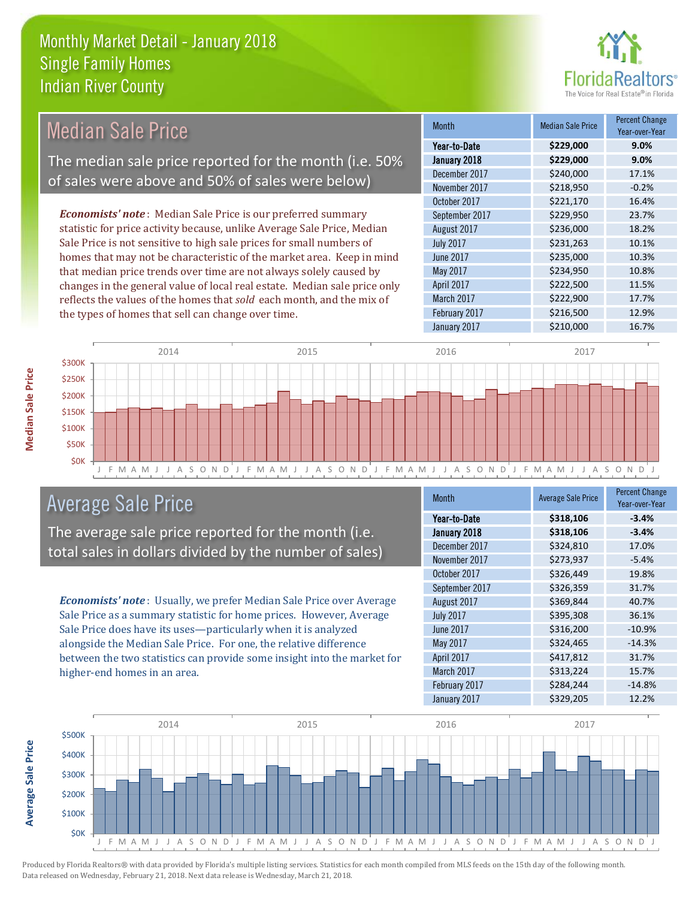

| <b>Median Sale Price</b>                                                  | <b>Month</b>     | <b>Median Sale Price</b> | <b>Percent Change</b><br>Year-over-Year |
|---------------------------------------------------------------------------|------------------|--------------------------|-----------------------------------------|
|                                                                           | Year-to-Date     | \$229,000                | 9.0%                                    |
| The median sale price reported for the month (i.e. 50%                    | January 2018     | \$229,000                | 9.0%                                    |
|                                                                           | December 2017    | \$240,000                | 17.1%                                   |
| of sales were above and 50% of sales were below)                          | November 2017    | \$218,950                | $-0.2%$                                 |
|                                                                           | October 2017     | \$221,170                | 16.4%                                   |
| <b>Economists' note:</b> Median Sale Price is our preferred summary       | September 2017   | \$229,950                | 23.7%                                   |
| statistic for price activity because, unlike Average Sale Price, Median   | August 2017      | \$236,000                | 18.2%                                   |
| Sale Price is not sensitive to high sale prices for small numbers of      | <b>July 2017</b> | \$231,263                | 10.1%                                   |
| homes that may not be characteristic of the market area. Keep in mind     | June 2017        | \$235,000                | 10.3%                                   |
| that median price trends over time are not always solely caused by        | May 2017         | \$234,950                | 10.8%                                   |
| changes in the general value of local real estate. Median sale price only | April 2017       | \$222,500                | 11.5%                                   |
| reflects the values of the homes that sold each month, and the mix of     | March 2017       | \$222,900                | 17.7%                                   |
| the types of homes that sell can change over time.                        | February 2017    | \$216,500                | 12.9%                                   |



#### Average Sale Price

The average sale price reported for the month (i.e. total sales in dollars divided by the number of sales)

*Economists' note* : Usually, we prefer Median Sale Price over Average Sale Price as a summary statistic for home prices. However, Average Sale Price does have its uses—particularly when it is analyzed alongside the Median Sale Price. For one, the relative difference between the two statistics can provide some insight into the market for higher-end homes in an area.

| Month            | <b>Average Sale Price</b> | <b>Percent Change</b><br>Year-over-Year |
|------------------|---------------------------|-----------------------------------------|
| Year-to-Date     | \$318,106                 | $-3.4%$                                 |
| January 2018     | \$318,106                 | $-3.4%$                                 |
| December 2017    | \$324,810                 | 17.0%                                   |
| November 2017    | \$273,937                 | $-5.4%$                                 |
| October 2017     | \$326,449                 | 19.8%                                   |
| September 2017   | \$326,359                 | 31.7%                                   |
| August 2017      | \$369,844                 | 40.7%                                   |
| <b>July 2017</b> | \$395,308                 | 36.1%                                   |
| <b>June 2017</b> | \$316,200                 | $-10.9%$                                |
| May 2017         | \$324,465                 | $-14.3%$                                |
| April 2017       | \$417,812                 | 31.7%                                   |
| March 2017       | \$313,224                 | 15.7%                                   |
| February 2017    | \$284,244                 | $-14.8%$                                |
| January 2017     | \$329,205                 | 12.2%                                   |

January 2017 **\$210,000** 16.7%

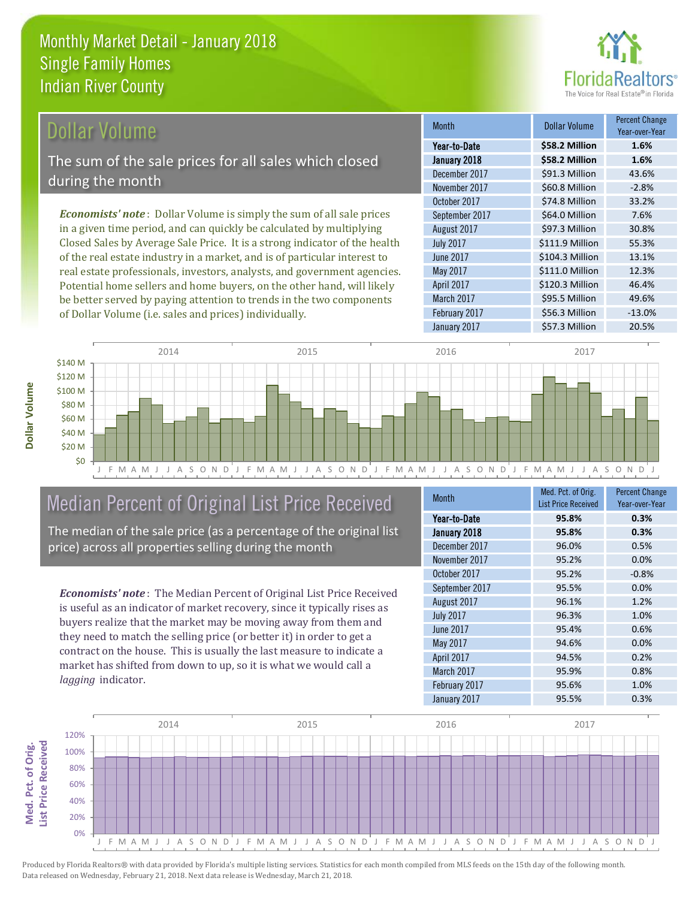

#### Dollar Volume

The sum of the sale prices for all sales which closed during the month

*Economists' note* : Dollar Volume is simply the sum of all sale prices in a given time period, and can quickly be calculated by multiplying Closed Sales by Average Sale Price. It is a strong indicator of the health of the real estate industry in a market, and is of particular interest to real estate professionals, investors, analysts, and government agencies. Potential home sellers and home buyers, on the other hand, will likely be better served by paying attention to trends in the two components of Dollar Volume (i.e. sales and prices) individually.

| <b>Month</b>     | <b>Dollar Volume</b> | Percent Change<br>Year-over-Year |
|------------------|----------------------|----------------------------------|
| Year-to-Date     | \$58.2 Million       | 1.6%                             |
| January 2018     | \$58.2 Million       | 1.6%                             |
| December 2017    | \$91.3 Million       | 43.6%                            |
| November 2017    | \$60.8 Million       | $-2.8%$                          |
| October 2017     | \$74.8 Million       | 33.2%                            |
| September 2017   | \$64.0 Million       | 7.6%                             |
| August 2017      | \$97.3 Million       | 30.8%                            |
| <b>July 2017</b> | \$111.9 Million      | 55.3%                            |
| June 2017        | \$104.3 Million      | 13.1%                            |
| May 2017         | \$111.0 Million      | 12.3%                            |
| April 2017       | \$120.3 Million      | 46.4%                            |
| March 2017       | \$95.5 Million       | 49.6%                            |
| February 2017    | \$56.3 Million       | $-13.0%$                         |
| January 2017     | \$57.3 Million       | 20.5%                            |



#### Median Percent of Original List Price Received

The median of the sale price (as a percentage of the original list price) across all properties selling during the month

*Economists' note* : The Median Percent of Original List Price Received is useful as an indicator of market recovery, since it typically rises as buyers realize that the market may be moving away from them and they need to match the selling price (or better it) in order to get a contract on the house. This is usually the last measure to indicate a market has shifted from down to up, so it is what we would call a *lagging* indicator.

| <b>Month</b>      | Med. Pct. of Orig.         | <b>Percent Change</b> |
|-------------------|----------------------------|-----------------------|
|                   | <b>List Price Received</b> | Year-over-Year        |
| Year-to-Date      | 95.8%                      | 0.3%                  |
| January 2018      | 95.8%                      | 0.3%                  |
| December 2017     | 96.0%                      | 0.5%                  |
| November 2017     | 95.2%                      | 0.0%                  |
| October 2017      | 95.2%                      | $-0.8%$               |
| September 2017    | 95.5%                      | 0.0%                  |
| August 2017       | 96.1%                      | 1.2%                  |
| <b>July 2017</b>  | 96.3%                      | 1.0%                  |
| <b>June 2017</b>  | 95.4%                      | 0.6%                  |
| May 2017          | 94.6%                      | 0.0%                  |
| <b>April 2017</b> | 94.5%                      | 0.2%                  |
| March 2017        | 95.9%                      | 0.8%                  |
| February 2017     | 95.6%                      | 1.0%                  |
| January 2017      | 95.5%                      | 0.3%                  |



Produced by Florida Realtors® with data provided by Florida's multiple listing services. Statistics for each month compiled from MLS feeds on the 15th day of the following month. Data released on Wednesday, February 21, 2018. Next data release is Wednesday, March 21, 2018.

Med. Pct. of Orig.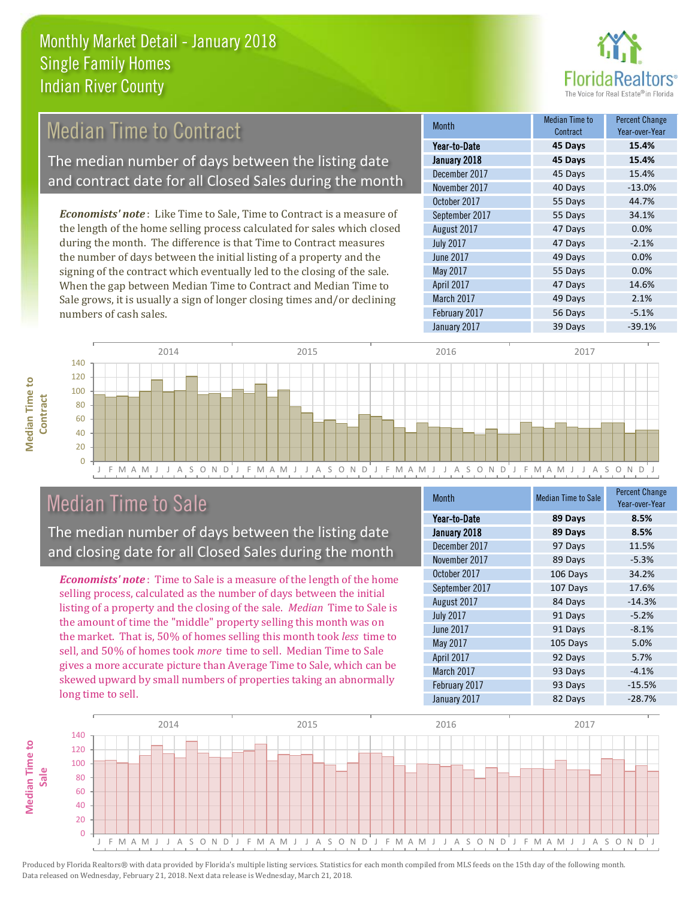

#### *Economists' note* : Like Time to Sale, Time to Contract is a measure of the length of the home selling process calculated for sales which closed during the month. The difference is that Time to Contract measures September 2017 55 Days 34.1% August 2017 **47 Days 0.0%** July 2017 47 Days -2.1% Month Month Median Time to Contract Percent Change Voor-over-Ver January 2018 **45 Days 15.4%** Year-to-Date **45 Days 15.4%** December 2017 45 Days 15.4% November 2017 40 Days -13.0% October 2017 55 Days 44.7% Median Time to Contract The median number of days between the listing date and contract date for all Closed Sales during the month

the number of days between the initial listing of a property and the signing of the contract which eventually led to the closing of the sale. When the gap between Median Time to Contract and Median Time to Sale grows, it is usually a sign of longer closing times and/or declining numbers of cash sales.

| Year-to-Date     | 45 Days | 15.4%    |
|------------------|---------|----------|
| January 2018     | 45 Days | 15.4%    |
| December 2017    | 45 Days | 15.4%    |
| November 2017    | 40 Days | $-13.0%$ |
| October 2017     | 55 Days | 44.7%    |
| September 2017   | 55 Days | 34.1%    |
| August 2017      | 47 Days | 0.0%     |
| <b>July 2017</b> | 47 Days | $-2.1%$  |
| June 2017        | 49 Days | 0.0%     |
| May 2017         | 55 Days | 0.0%     |
| April 2017       | 47 Days | 14.6%    |
| March 2017       | 49 Days | 2.1%     |
| February 2017    | 56 Days | $-5.1%$  |
| January 2017     | 39 Days | $-39.1%$ |



## Median Time to Sale

**Median Time to** 

**Median Time to** 

The median number of days between the listing date and closing date for all Closed Sales during the month

*Economists' note* : Time to Sale is a measure of the length of the home selling process, calculated as the number of days between the initial listing of a property and the closing of the sale. *Median* Time to Sale is the amount of time the "middle" property selling this month was on the market. That is, 50% of homes selling this month took *less* time to sell, and 50% of homes took *more* time to sell. Median Time to Sale gives a more accurate picture than Average Time to Sale, which can be skewed upward by small numbers of properties taking an abnormally long time to sell.

| <b>Month</b>     | <b>Median Time to Sale</b> | <b>Percent Change</b><br>Year-over-Year |
|------------------|----------------------------|-----------------------------------------|
| Year-to-Date     | 89 Days                    | 8.5%                                    |
| January 2018     | 89 Days                    | 8.5%                                    |
| December 2017    | 97 Days                    | 11.5%                                   |
| November 2017    | 89 Days                    | $-5.3%$                                 |
| October 2017     | 106 Days                   | 34.2%                                   |
| September 2017   | 107 Days                   | 17.6%                                   |
| August 2017      | 84 Days                    | $-14.3%$                                |
| <b>July 2017</b> | 91 Days                    | $-5.2%$                                 |
| <b>June 2017</b> | 91 Days                    | $-8.1%$                                 |
| May 2017         | 105 Days                   | 5.0%                                    |
| April 2017       | 92 Days                    | 5.7%                                    |
| March 2017       | 93 Days                    | $-4.1%$                                 |
| February 2017    | 93 Days                    | $-15.5%$                                |
| January 2017     | 82 Days                    | $-28.7%$                                |

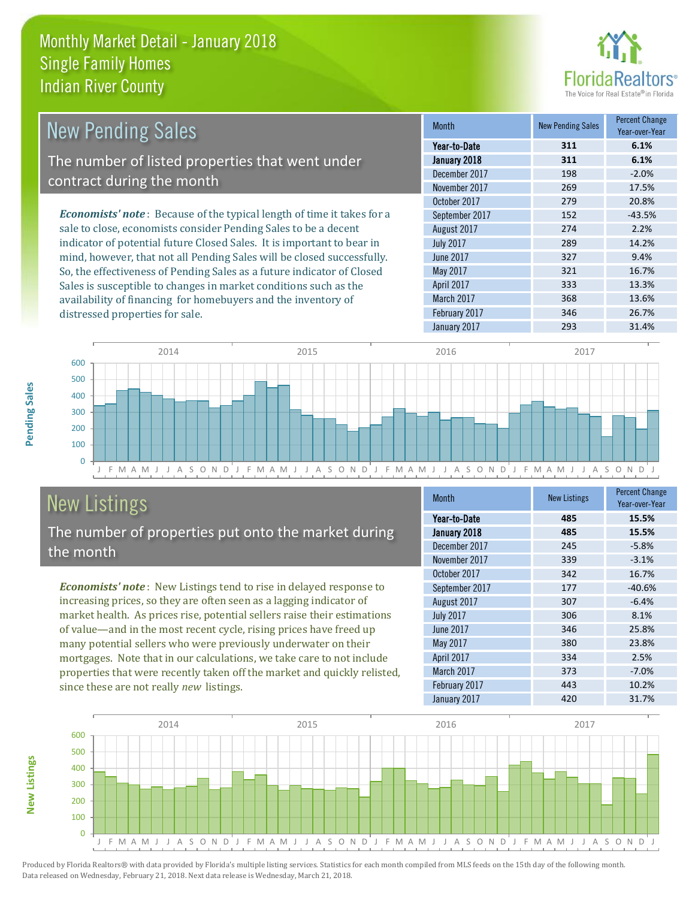

| <b>New Pending Sales</b>                                                      | <b>Month</b>     | <b>New Pending Sales</b> | <b>Percent Change</b><br>Year-over-Year |
|-------------------------------------------------------------------------------|------------------|--------------------------|-----------------------------------------|
|                                                                               | Year-to-Date     | 311                      | 6.1%                                    |
| The number of listed properties that went under                               | January 2018     | 311                      | 6.1%                                    |
|                                                                               | December 2017    | 198                      | $-2.0%$                                 |
| contract during the month                                                     | November 2017    | 269                      | 17.5%                                   |
|                                                                               | October 2017     | 279                      | 20.8%                                   |
| <b>Economists' note:</b> Because of the typical length of time it takes for a | September 2017   | 152                      | $-43.5%$                                |
| sale to close, economists consider Pending Sales to be a decent               | August 2017      | 274                      | 2.2%                                    |
| indicator of potential future Closed Sales. It is important to bear in        | <b>July 2017</b> | 289                      | 14.2%                                   |
| mind, however, that not all Pending Sales will be closed successfully.        | June 2017        | 327                      | 9.4%                                    |
| So, the effectiveness of Pending Sales as a future indicator of Closed        | May 2017         | 321                      | 16.7%                                   |
| Sales is susceptible to changes in market conditions such as the              | April 2017       | 333                      | 13.3%                                   |



# New Listings

distressed properties for sale.

The number of properties put onto the market during the month

availability of financing for homebuyers and the inventory of

*Economists' note* : New Listings tend to rise in delayed response to increasing prices, so they are often seen as a lagging indicator of market health. As prices rise, potential sellers raise their estimations of value—and in the most recent cycle, rising prices have freed up many potential sellers who were previously underwater on their mortgages. Note that in our calculations, we take care to not include properties that were recently taken off the market and quickly relisted, since these are not really *new* listings.

| <b>Month</b>      | <b>New Listings</b> | <b>Percent Change</b><br>Year-over-Year |
|-------------------|---------------------|-----------------------------------------|
| Year-to-Date      | 485                 | 15.5%                                   |
| January 2018      | 485                 | 15.5%                                   |
| December 2017     | 245                 | $-5.8%$                                 |
| November 2017     | 339                 | $-3.1%$                                 |
| October 2017      | 342                 | 16.7%                                   |
| September 2017    | 177                 | $-40.6%$                                |
| August 2017       | 307                 | $-6.4%$                                 |
| <b>July 2017</b>  | 306                 | 8.1%                                    |
| <b>June 2017</b>  | 346                 | 25.8%                                   |
| May 2017          | 380                 | 23.8%                                   |
| <b>April 2017</b> | 334                 | 2.5%                                    |
| March 2017        | 373                 | $-7.0%$                                 |
| February 2017     | 443                 | 10.2%                                   |
| January 2017      | 420                 | 31.7%                                   |

January 2017 293 31.4%

March 2017 368 13.6% February 2017 **346** 26.7%



**Pending Sales**

Pending Sales

**New Listings**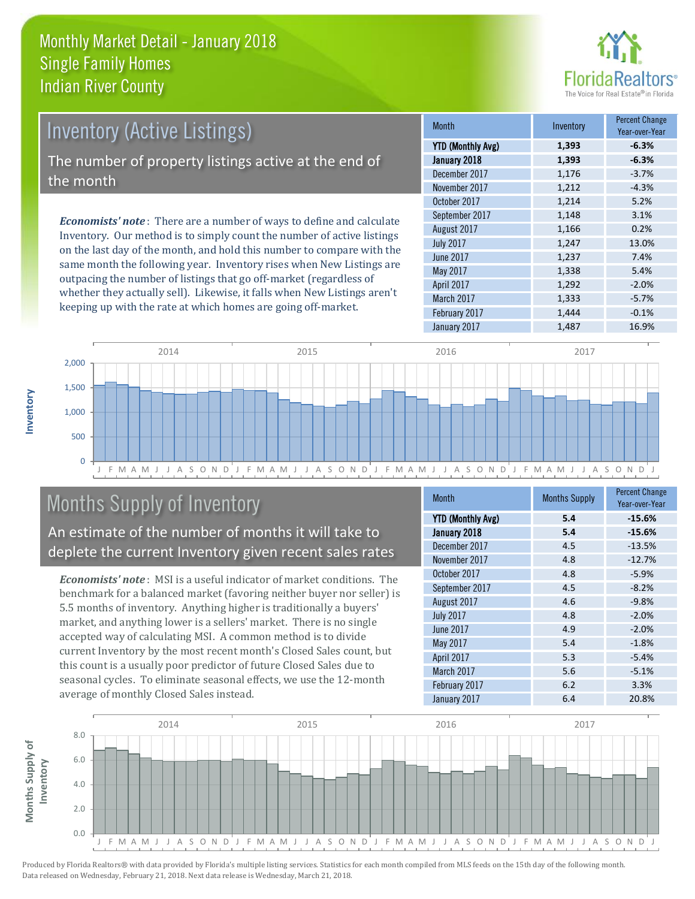

# Inventory (Active Listings) The number of property listings active at the end of the month

*Economists' note* : There are a number of ways to define and calculate Inventory. Our method is to simply count the number of active listings on the last day of the month, and hold this number to compare with the same month the following year. Inventory rises when New Listings are outpacing the number of listings that go off-market (regardless of whether they actually sell). Likewise, it falls when New Listings aren't keeping up with the rate at which homes are going off-market.

| <b>Month</b>             | Inventory | <b>Percent Change</b><br>Year-over-Year |
|--------------------------|-----------|-----------------------------------------|
| <b>YTD (Monthly Avg)</b> | 1,393     | $-6.3%$                                 |
| January 2018             | 1,393     | $-6.3%$                                 |
| December 2017            | 1,176     | $-3.7%$                                 |
| November 2017            | 1,212     | $-4.3%$                                 |
| October 2017             | 1,214     | 5.2%                                    |
| September 2017           | 1,148     | 3.1%                                    |
| August 2017              | 1,166     | 0.2%                                    |
| <b>July 2017</b>         | 1,247     | 13.0%                                   |
| <b>June 2017</b>         | 1,237     | 7.4%                                    |
| May 2017                 | 1,338     | 5.4%                                    |
| April 2017               | 1,292     | $-2.0%$                                 |
| March 2017               | 1,333     | $-5.7%$                                 |
| February 2017            | 1,444     | $-0.1%$                                 |
| January 2017             | 1,487     | 16.9%                                   |



# Months Supply of Inventory

An estimate of the number of months it will take to deplete the current Inventory given recent sales rates

*Economists' note* : MSI is a useful indicator of market conditions. The benchmark for a balanced market (favoring neither buyer nor seller) is 5.5 months of inventory. Anything higher is traditionally a buyers' market, and anything lower is a sellers' market. There is no single accepted way of calculating MSI. A common method is to divide current Inventory by the most recent month's Closed Sales count, but this count is a usually poor predictor of future Closed Sales due to seasonal cycles. To eliminate seasonal effects, we use the 12-month average of monthly Closed Sales instead.

| <b>Month</b>             | <b>Months Supply</b> | <b>Percent Change</b><br>Year-over-Year |
|--------------------------|----------------------|-----------------------------------------|
| <b>YTD (Monthly Avg)</b> | 5.4                  | $-15.6%$                                |
| January 2018             | 5.4                  | $-15.6%$                                |
| December 2017            | 4.5                  | $-13.5%$                                |
| November 2017            | 4.8                  | $-12.7%$                                |
| October 2017             | 4.8                  | $-5.9%$                                 |
| September 2017           | 4.5                  | $-8.2%$                                 |
| August 2017              | 4.6                  | $-9.8%$                                 |
| <b>July 2017</b>         | 4.8                  | $-2.0%$                                 |
| <b>June 2017</b>         | 4.9                  | $-2.0%$                                 |
| May 2017                 | 5.4                  | $-1.8%$                                 |
| April 2017               | 5.3                  | $-5.4%$                                 |
| March 2017               | 5.6                  | $-5.1%$                                 |
| February 2017            | 6.2                  | 3.3%                                    |
| January 2017             | 6.4                  | 20.8%                                   |

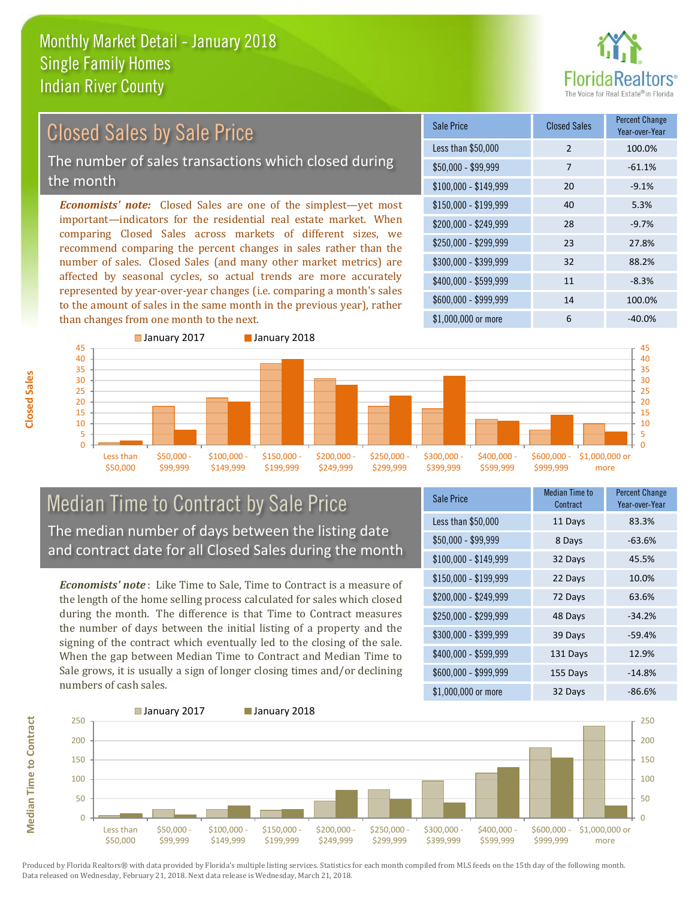

# Closed Sales by Sale Price

The number of sales transactions which closed during the month

*Economists' note:* Closed Sales are one of the simplest—yet most important—indicators for the residential real estate market. When comparing Closed Sales across markets of different sizes, we recommend comparing the percent changes in sales rather than the number of sales. Closed Sales (and many other market metrics) are affected by seasonal cycles, so actual trends are more accurately represented by year-over-year changes (i.e. comparing a month's sales to the amount of sales in the same month in the previous year), rather than changes from one month to the next.

| <b>Sale Price</b>     | <b>Closed Sales</b> | <b>Percent Change</b><br>Year-over-Year |
|-----------------------|---------------------|-----------------------------------------|
| Less than \$50,000    | $\overline{2}$      | 100.0%                                  |
| \$50,000 - \$99,999   | 7                   | $-61.1%$                                |
| $$100,000 - $149,999$ | 20                  | $-9.1%$                                 |
| $$150,000 - $199,999$ | 40                  | 5.3%                                    |
| \$200,000 - \$249,999 | 28                  | $-9.7%$                                 |
| \$250,000 - \$299,999 | 23                  | 27.8%                                   |
| \$300,000 - \$399,999 | 32                  | 88.2%                                   |
| \$400,000 - \$599,999 | 11                  | $-8.3%$                                 |
| \$600,000 - \$999,999 | 14                  | 100.0%                                  |
| \$1,000,000 or more   | 6                   | $-40.0%$                                |



#### Median Time to Contract by Sale Price The median number of days between the listing date and contract date for all Closed Sales during the month

*Economists' note* : Like Time to Sale, Time to Contract is a measure of the length of the home selling process calculated for sales which closed during the month. The difference is that Time to Contract measures the number of days between the initial listing of a property and the signing of the contract which eventually led to the closing of the sale. When the gap between Median Time to Contract and Median Time to Sale grows, it is usually a sign of longer closing times and/or declining numbers of cash sales.

| Sale Price            | Median Time to<br>Contract | <b>Percent Change</b><br>Year-over-Year |
|-----------------------|----------------------------|-----------------------------------------|
| Less than \$50,000    | 11 Days                    | 83.3%                                   |
| $$50,000 - $99,999$   | 8 Days                     | $-63.6%$                                |
| $$100,000 - $149,999$ | 32 Days                    | 45.5%                                   |
| $$150,000 - $199,999$ | 22 Days                    | 10.0%                                   |
| \$200,000 - \$249,999 | 72 Days                    | 63.6%                                   |
| \$250,000 - \$299,999 | 48 Days                    | $-34.2%$                                |
| \$300,000 - \$399,999 | 39 Days                    | $-59.4%$                                |
| \$400,000 - \$599,999 | 131 Days                   | 12.9%                                   |
| \$600,000 - \$999,999 | 155 Days                   | $-14.8%$                                |
| \$1,000,000 or more   | 32 Days                    | $-86.6%$                                |



Produced by Florida Realtors® with data provided by Florida's multiple listing services. Statistics for each month compiled from MLS feeds on the 15th day of the following month. Data released on Wednesday, February 21, 2018. Next data release is Wednesday, March 21, 2018.

**Median Time to Contract**

**Median Time to Contract**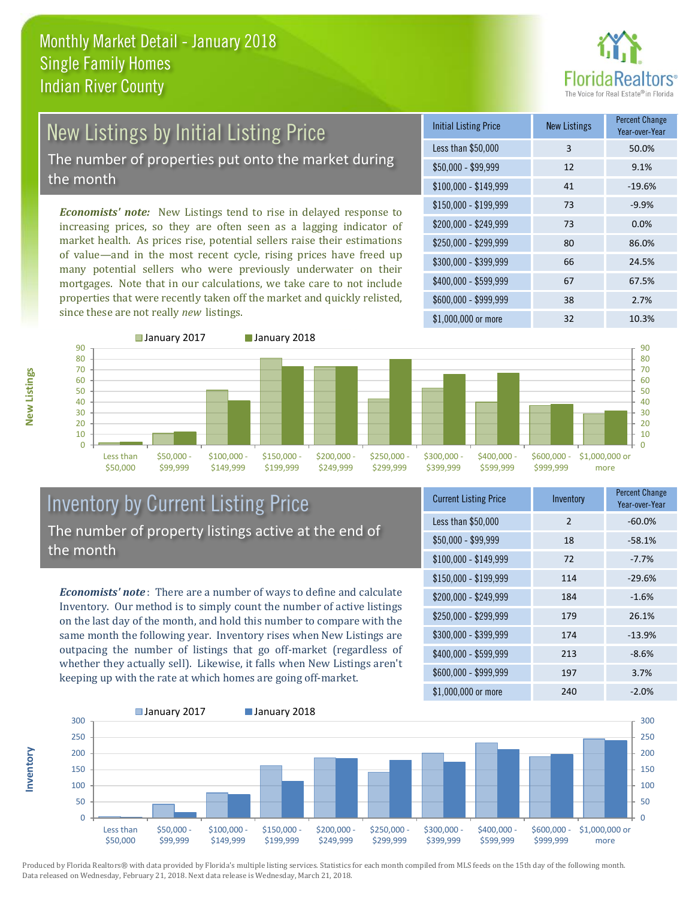

# New Listings by Initial Listing Price

The number of properties put onto the market during the month

*Economists' note:* New Listings tend to rise in delayed response to increasing prices, so they are often seen as a lagging indicator of market health. As prices rise, potential sellers raise their estimations of value—and in the most recent cycle, rising prices have freed up many potential sellers who were previously underwater on their mortgages. Note that in our calculations, we take care to not include properties that were recently taken off the market and quickly relisted, since these are not really *new* listings.





#### Inventory by Current Listing Price The number of property listings active at the end of the month

*Economists' note* : There are a number of ways to define and calculate Inventory. Our method is to simply count the number of active listings on the last day of the month, and hold this number to compare with the same month the following year. Inventory rises when New Listings are outpacing the number of listings that go off-market (regardless of whether they actually sell). Likewise, it falls when New Listings aren't keeping up with the rate at which homes are going off-market.

| <b>Current Listing Price</b> | Inventory     | Percent Change<br>Year-over-Year |
|------------------------------|---------------|----------------------------------|
| Less than \$50,000           | $\mathcal{P}$ | $-60.0%$                         |
| $$50,000 - $99,999$          | 18            | $-58.1%$                         |
| $$100,000 - $149,999$        | 72            | $-7.7%$                          |
| $$150,000 - $199,999$        | 114           | $-29.6%$                         |
| \$200,000 - \$249,999        | 184           | $-1.6%$                          |
| \$250,000 - \$299,999        | 179           | 26.1%                            |
| \$300,000 - \$399,999        | 174           | $-13.9%$                         |
| \$400,000 - \$599,999        | 213           | $-8.6%$                          |
| \$600,000 - \$999,999        | 197           | 3.7%                             |
| \$1,000,000 or more          | 240           | $-2.0%$                          |



Produced by Florida Realtors® with data provided by Florida's multiple listing services. Statistics for each month compiled from MLS feeds on the 15th day of the following month. Data released on Wednesday, February 21, 2018. Next data release is Wednesday, March 21, 2018.

**Inventory**